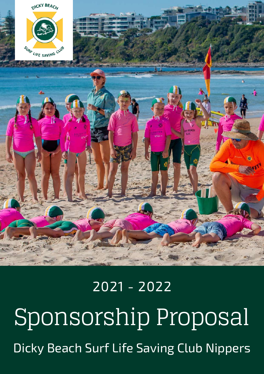# Sponsorship Proposal Dicky Beach Surf Life Saving Club Nippers 2021 - 2022



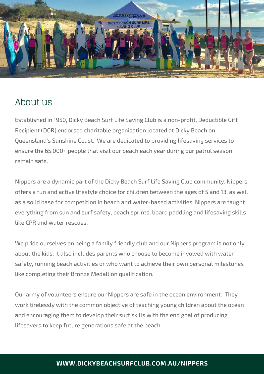

### About us

Established in 1950, Dicky Beach Surf Life Saving Club is a non-profit, Deductible Gift Recipient (DGR) endorsed charitable organisation located at Dicky Beach on Queensland's Sunshine Coast. We are dedicated to providing lifesaving services to ensure the 65,000+ people that visit our beach each year during our patrol season remain safe.

Nippers are a dynamic part of the Dicky Beach Surf Life Saving Club community. Nippers offers a fun and active lifestyle choice for children between the ages of 5 and 13, as well as a solid base for competition in beach and water-based activities. Nippers are taught everything from sun and surf safety, beach sprints, board paddling and lifesaving skills like CPR and water rescues.

We pride ourselves on being a family friendly club and our Nippers program is not only about the kids. It also includes parents who choose to become involved with water safety, running beach activities or who want to achieve their own personal milestones like completing their Bronze Medallion qualification.

Our army of volunteers ensure our Nippers are safe in the ocean environment. They work tirelessly with the common objective of teaching young children about the ocean and encouraging them to develop their surf skills with the end goal of producing lifesavers to keep future generations safe at the beach.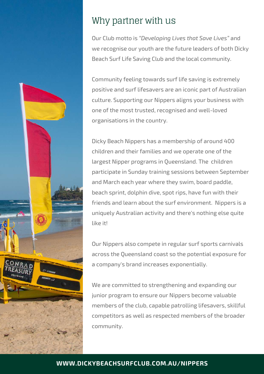

## Why partner with us

Our Club motto is *"Developing Lives that Save Lives"* and we recognise our youth are the future leaders of both Dicky Beach Surf Life Saving Club and the local community.

Community feeling towards surf life saving is extremely positive and surf lifesavers are an iconic part of Australian culture. Supporting our Nippers aligns your business with one of the most trusted, recognised and well-loved organisations in the country.

Dicky Beach Nippers has a membership of around 400 children and their families and we operate one of the largest Nipper programs in Queensland. The children participate in Sunday training sessions between September and March each year where they swim, board paddle, beach sprint, dolphin dive, spot rips, have fun with their friends and learn about the surf environment. Nippers is a uniquely Australian activity and there's nothing else quite like it!

Our Nippers also compete in regular surf sports carnivals across the Queensland coast so the potential exposure for a company's brand increases exponentially.

We are committed to strengthening and expanding our junior program to ensure our Nippers become valuable members of the club, capable patrolling lifesavers, skillful competitors as well as respected members of the broader community.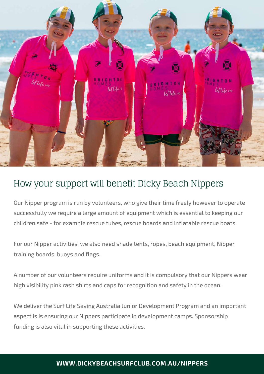

## How your support will benefit Dicky Beach Nippers

Our Nipper program is run by volunteers, who give their time freely however to operate successfully we require a large amount of equipment which is essential to keeping our children safe - for example rescue tubes, rescue boards and inflatable rescue boats.

For our Nipper activities, we also need shade tents, ropes, beach equipment, Nipper training boards, buoys and flags.

A number of our volunteers require uniforms and it is compulsory that our Nippers wear high visibility pink rash shirts and caps for recognition and safety in the ocean.

We deliver the Surf Life Saving Australia Junior Development Program and an important aspect is is ensuring our Nippers participate in development camps. Sponsorship funding is also vital in supporting these activities.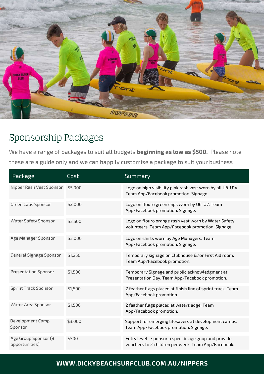

# Sponsorship Packages

We have a range of packages to suit all budgets **beginning as low as \$500.** Please note these are a guide only and we can happily customise a package to suit your business

| Package                                | Cost    | Summary                                                                                                      |
|----------------------------------------|---------|--------------------------------------------------------------------------------------------------------------|
| Nipper Rash Vest Sponsor               | \$5,000 | Logo on high visibility pink rash vest worn by all U6-U14.<br>Team App/Facebook promotion. Signage.          |
| Green Caps Sponsor                     | \$2,000 | Logo on flouro green caps worn by U6-U7. Team<br>App/Facebook promotion. Signage.                            |
| Water Safety Sponsor                   | \$3,500 | Logo on flouro orange rash vest worn by Water Safety<br>Volunteers. Team App/Facebook promotion. Signage.    |
| Age Manager Sponsor                    | \$3,000 | Logo on shirts worn by Age Managers. Team<br>App/Facebook promotion. Signage.                                |
| General Signage Sponsor                | \$1,250 | Temporary signage on Clubhouse &/or First Aid room.<br>Team App/Facebook promotion.                          |
| <b>Presentation Sponsor</b>            | \$1,500 | Temporary Signage and public acknowledgment at<br>Presentation Day. Team App/Facebook promotion.             |
| <b>Sprint Track Sponsor</b>            | \$1,500 | 2 feather flags placed at finish line of sprint track. Team<br>App/Facebook promotion                        |
| Water Area Sponsor                     | \$1,500 | 2 feather flags placed at waters edge. Team<br>App/Facebook promotion.                                       |
| Development Camp<br>Sponsor            | \$3,000 | Support for emerging lifesavers at development camps.<br>Team App/Facebook promotion. Signage.               |
| Age Group Sponsor (9<br>opportunities) | \$500   | Entry level - sponsor a specific age goup and provide<br>vouchers to 2 children per week. Team App/Facebook. |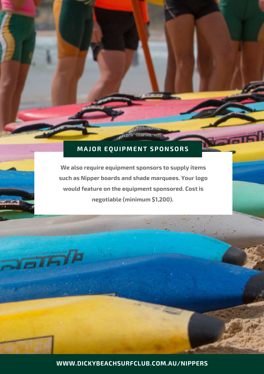#### **MAJOR EQUIPMENT SPONSORS**

**We also require equipment sponsors to supply items such as Nipper boards and shade marquees. Your logo would feature on the equipment sponsored. Cost is negotiable (minimum \$1,200).**

 $\overline{aI}$ Fin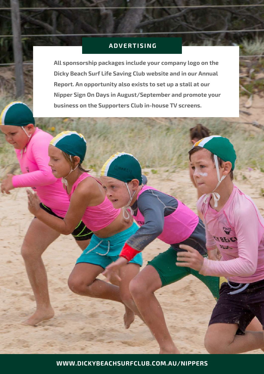#### **ADVERTISING**

**All sponsorship packages include your company logo on the Dicky Beach Surf Life Saving Club website and in our Annual Report. An opportunity also exists to set up a stall at our Nipper Sign On Days in August/September and promote your business on the Supporters Club in-house TV screens.**